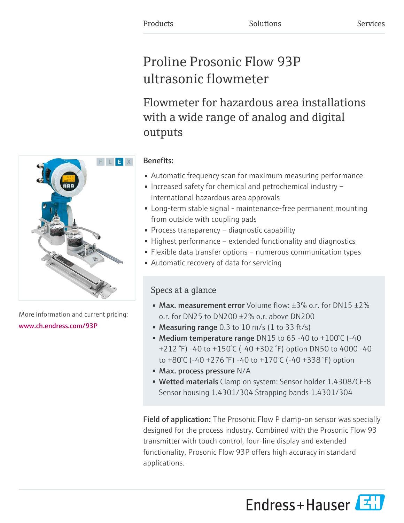# Proline Prosonic Flow 93P ultrasonic flowmeter

Flowmeter for hazardous area installations with a wide range of analog and digital outputs

# Benefits:

- Automatic frequency scan for maximum measuring performance
- Increased safety for chemical and petrochemical industry international hazardous area approvals
- Long-term stable signal maintenance-free permanent mounting from outside with coupling pads
- Process transparency diagnostic capability
- Highest performance extended functionality and diagnostics
- Flexible data transfer options numerous communication types
- Automatic recovery of data for servicing

# Specs at a glance

- Max. measurement error Volume flow:  $\pm 3\%$  o.r. for DN15  $\pm 2\%$ o.r. for DN25 to DN200 ±2% o.r. above DN200
- Measuring range  $0.3$  to  $10$  m/s  $(1 \text{ to } 33 \text{ ft/s})$
- Medium temperature range DN15 to 65 -40 to +100°C (-40 +212 °F) -40 to +150°C (-40 +302 °F) option DN50 to 4000 -40 to +80°C (-40 +276 °F) -40 to +170°C (-40 +338 °F) option
- Max. process pressure N/A
- Wetted materials Clamp on system: Sensor holder 1.4308/CF-8 Sensor housing 1.4301/304 Strapping bands 1.4301/304

**Field of application:** The Prosonic Flow P clamp-on sensor was specially designed for the process industry. Combined with the Prosonic Flow 93 transmitter with touch control, four-line display and extended functionality, Prosonic Flow 93P offers high accuracy in standard applications.





More information and current pricing: [www.ch.endress.com/93P](https://www.ch.endress.com/93P)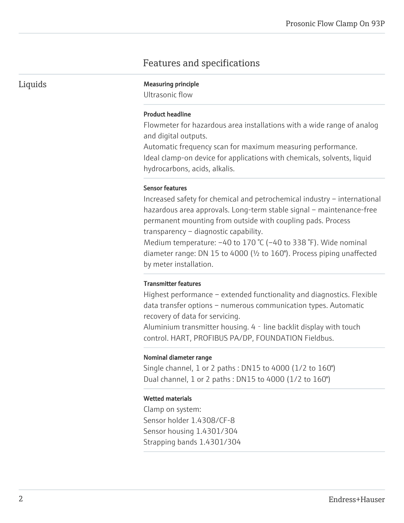# Features and specifications

Liquids Measuring principle

Ultrasonic flow

### Product headline

Flowmeter for hazardous area installations with a wide range of analog and digital outputs.

Automatic frequency scan for maximum measuring performance. Ideal clamp-on device for applications with chemicals, solvents, liquid hydrocarbons, acids, alkalis.

#### Sensor features

Increased safety for chemical and petrochemical industry – international hazardous area approvals. Long-term stable signal – maintenance-free permanent mounting from outside with coupling pads. Process transparency – diagnostic capability.

Medium temperature: –40 to 170 °C (–40 to 338 °F). Wide nominal diameter range: DN 15 to 4000 (½ to 160"). Process piping unaffected by meter installation.

#### Transmitter features

Highest performance – extended functionality and diagnostics. Flexible data transfer options – numerous communication types. Automatic recovery of data for servicing.

Aluminium transmitter housing.  $4 -$  line backlit display with touch control. HART, PROFIBUS PA/DP, FOUNDATION Fieldbus.

#### Nominal diameter range

Single channel, 1 or 2 paths : DN15 to 4000 (1/2 to 160") Dual channel, 1 or 2 paths : DN15 to 4000 (1/2 to 160")

#### Wetted materials

Clamp on system: Sensor holder 1.4308/CF-8 Sensor housing 1.4301/304 Strapping bands 1.4301/304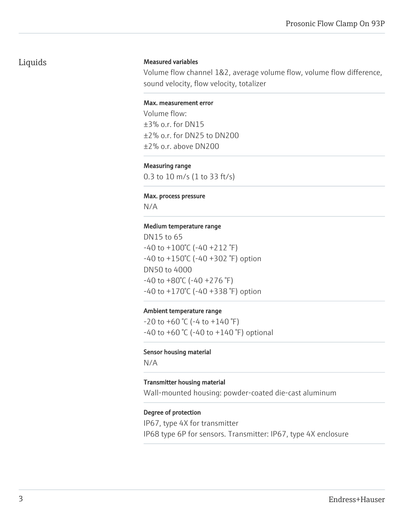# Liquids

#### Measured variables

Volume flow channel 1&2, average volume flow, volume flow difference, sound velocity, flow velocity, totalizer

#### Max. measurement error

Volume flow: ±3% o.r. for DN15 ±2% o.r. for DN25 to DN200 ±2% o.r. above DN200

#### Measuring range

0.3 to 10 m/s (1 to 33 ft/s)

#### Max. process pressure

N/A

#### Medium temperature range

DN15 to 65 -40 to +100°C (-40 +212 °F) -40 to +150°C (-40 +302 °F) option DN50 to 4000  $-40$  to  $+80^{\circ}$ C ( $-40 +276^{\circ}$ F) -40 to +170°C (-40 +338 °F) option

#### Ambient temperature range

 $-20$  to  $+60$  °C ( $-4$  to  $+140$  °F)  $-40$  to  $+60$  °C ( $-40$  to  $+140$  °F) optional

#### Sensor housing material

N/A

#### Transmitter housing material

Wall-mounted housing: powder-coated die-cast aluminum

#### Degree of protection

IP67, type 4X for transmitter IP68 type 6P for sensors. Transmitter: IP67, type 4X enclosure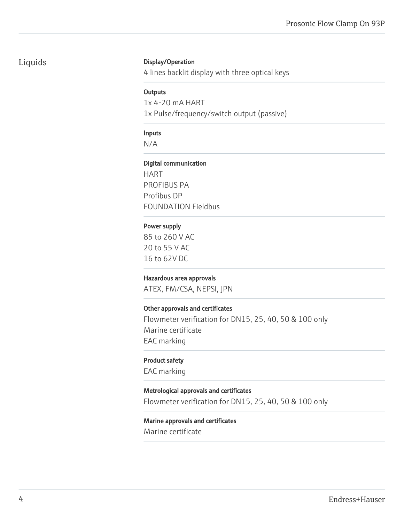# Liquids

### Display/Operation

4 lines backlit display with three optical keys

#### **Outputs**

1x 4-20 mA HART

1x Pulse/frequency/switch output (passive)

# Inputs

N/A

### Digital communication

HART PROFIBUS PA Profibus DP FOUNDATION Fieldbus

# Power supply

85 to 260 V AC 20 to 55 V AC 16 to 62V DC

# Hazardous area approvals

ATEX, FM/CSA, NEPSI, JPN

#### Other approvals and certificates

Flowmeter verification for DN15, 25, 40, 50 & 100 only Marine certificate EAC marking

#### Product safety

EAC marking

# Metrological approvals and certificates

Flowmeter verification for DN15, 25, 40, 50 & 100 only

# Marine approvals and certificates

Marine certificate